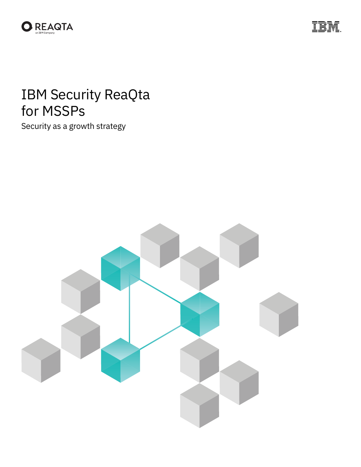



# IBM Security ReaQta for MSSPs

Security as a growth strategy

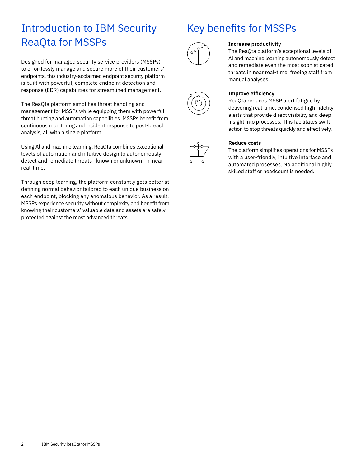### Introduction to IBM Security ReaQta for MSSPs

Designed for managed security service providers (MSSPs) to effortlessly manage and secure more of their customers' endpoints, this industry-acclaimed endpoint security platform is built with powerful, complete endpoint detection and response (EDR) capabilities for streamlined management.

The ReaQta platform simplifies threat handling and management for MSSPs while equipping them with powerful threat hunting and automation capabilities. MSSPs benefit from continuous monitoring and incident response to post-breach analysis, all with a single platform.

Using Al and machine learning, ReaQta combines exceptional levels of automation and intuitive design to autonomously detect and remediate threats—known or unknown—in near real-time.

Through deep learning, the platform constantly gets better at defining normal behavior tailored to each unique business on each endpoint, blocking any anomalous behavior. As a result, MSSPs experience security without complexity and benefit from knowing their customers' valuable data and assets are safely protected against the most advanced threats.

### Key benefits for MSSPs



#### **Increase productivity**

The ReaQta platform's exceptional levels of Al and machine learning autonomously detect and remediate even the most sophisticated threats in near real-time, freeing staff from manual analyses.



#### **Improve efficiency**

ReaQta reduces MSSP alert fatigue by delivering real-time, condensed high-fidelity alerts that provide direct visibility and deep insight into processes. This facilitates swift action to stop threats quickly and effectively.



#### **Reduce costs**

The platform simplifies operations for MSSPs with a user-friendly, intuitive interface and automated processes. No additional highly skilled staff or headcount is needed.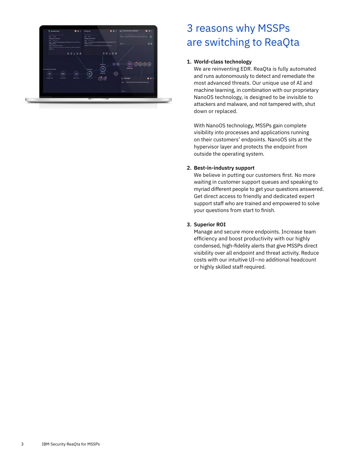

### 3 reasons why MSSPs are switching to ReaQta

#### **1. World-class technology**

We are reinventing EDR. ReaQta is fully automated and runs autonomously to detect and remediate the most advanced threats. Our unique use of AI and machine learning, in combination with our proprietary NanoOS technology, is designed to be invisible to attackers and malware, and not tampered with, shut down or replaced.

With NanoOS technology, MSSPs gain complete visibility into processes and applications running on their customers' endpoints. NanoOS sits at the hypervisor layer and protects the endpoint from outside the operating system.

#### **2. Best-in-industry support**

We believe in putting our customers first. No more waiting in customer support queues and speaking to myriad different people to get your questions answered. Get direct access to friendly and dedicated expert support staff who are trained and empowered to solve your questions from start to finish.

#### **3. Superior ROI**

Manage and secure more endpoints. Increase team efficiency and boost productivity with our highly condensed, high-fidelity alerts that give MSSPs direct visibility over all endpoint and threat activity. Reduce costs with our intuitive UI—no additional headcount or highly skilled staff required.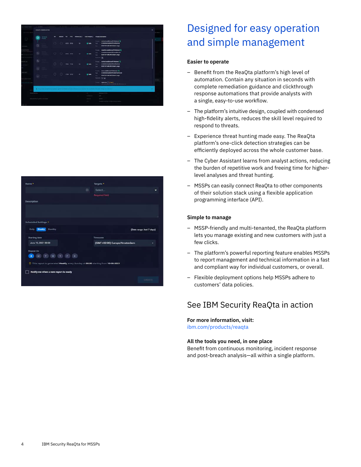



## Designed for easy operation and simple management

#### **Easier to operate**

- Benefit from the ReaQta platform's high level of automation. Contain any situation in seconds with complete remediation guidance and clickthrough response automations that provide analysts with a single, easy-to-use workflow.
- The platform's intuitive design, coupled with condensed high-fidelity alerts, reduces the skill level required to respond to threats.
- Experience threat hunting made easy. The ReaQta platform's one-click detection strategies can be efficiently deployed across the whole customer base.
- The Cyber Assistant learns from analyst actions, reducing the burden of repetitive work and freeing time for higherlevel analyses and threat hunting.
- MSSPs can easily connect ReaQta to other components of their solution stack using a flexible application programming interface (API).

#### **Simple to manage**

- MSSP-friendly and multi-tenanted, the ReaQta platform lets you manage existing and new customers with just a few clicks.
- The platform's powerful reporting feature enables MSSPs to report management and technical information in a fast and compliant way for individual customers, or overall.
- Flexible deployment options help MSSPs adhere to customers' data policies.

### See IBM Security ReaQta in action

#### **For more information, visit:**

ibm.com[/products/reaqta](http://www.ibm.com/products/reaqta)

#### **All the tools you need, in one place**

Benefit from continuous monitoring, incident response and post-breach analysis—all within a single platform.